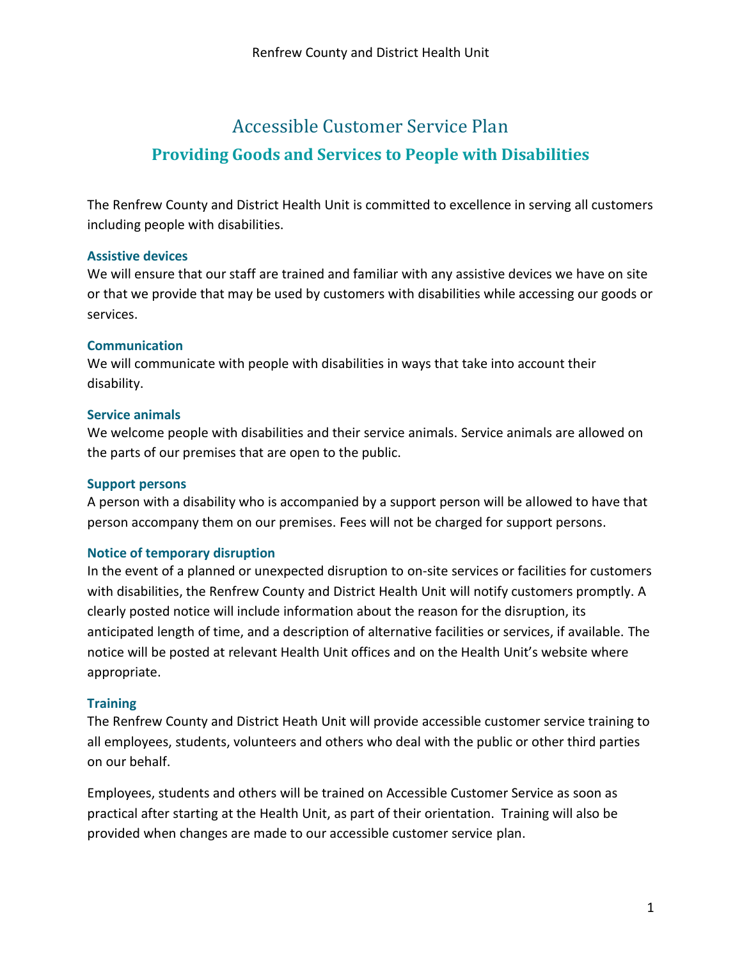# Accessible Customer Service Plan **Providing Goods and Services to People with Disabilities**

The Renfrew County and District Health Unit is committed to excellence in serving all customers including people with disabilities.

#### **Assistive devices**

We will ensure that our staff are trained and familiar with any assistive devices we have on site or that we provide that may be used by customers with disabilities while accessing our goods or services.

#### **Communication**

We will communicate with people with disabilities in ways that take into account their disability.

#### **Service animals**

We welcome people with disabilities and their service animals. Service animals are allowed on the parts of our premises that are open to the public.

#### **Support persons**

A person with a disability who is accompanied by a support person will be allowed to have that person accompany them on our premises. Fees will not be charged for support persons.

## **Notice of temporary disruption**

In the event of a planned or unexpected disruption to on-site services or facilities for customers with disabilities, the Renfrew County and District Health Unit will notify customers promptly. A clearly posted notice will include information about the reason for the disruption, its anticipated length of time, and a description of alternative facilities or services, if available. The notice will be posted at relevant Health Unit offices and on the Health Unit's website where appropriate.

## **Training**

The Renfrew County and District Heath Unit will provide accessible customer service training to all employees, students, volunteers and others who deal with the public or other third parties on our behalf.

Employees, students and others will be trained on Accessible Customer Service as soon as practical after starting at the Health Unit, as part of their orientation. Training will also be provided when changes are made to our accessible customer service plan.